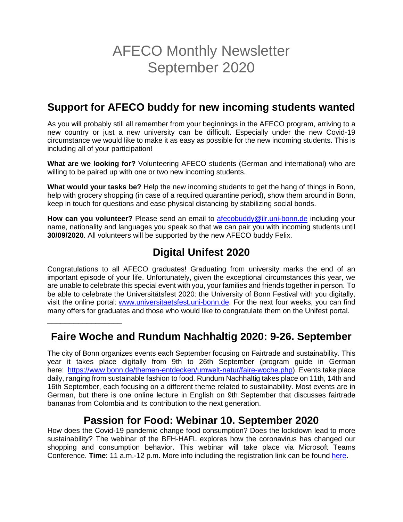# AFECO Monthly Newsletter September 2020

# **Support for AFECO buddy for new incoming students wanted**

As you will probably still all remember from your beginnings in the AFECO program, arriving to a new country or just a new university can be difficult. Especially under the new Covid-19 circumstance we would like to make it as easy as possible for the new incoming students. This is including all of your participation!

**What are we looking for?** Volunteering AFECO students (German and international) who are willing to be paired up with one or two new incoming students.

**What would your tasks be?** Help the new incoming students to get the hang of things in Bonn, help with grocery shopping (in case of a required quarantine period), show them around in Bonn, keep in touch for questions and ease physical distancing by stabilizing social bonds.

**How can you volunteer?** Please send an email to [afecobuddy@ilr.uni-bonn.de](mailto:afecobuddy@ilr.uni-bonn.de) including your name, nationality and languages you speak so that we can pair you with incoming students until **30/09/2020**. All volunteers will be supported by the new AFECO buddy Felix.

# **Digital Unifest 2020**

Congratulations to all AFECO graduates! Graduating from university marks the end of an important episode of your life. Unfortunately, given the exceptional circumstances this year, we are unable to celebrate this special event with you, your families and friends together in person. To be able to celebrate the Universitätsfest 2020: the University of Bonn Festival with you digitally, visit the online portal: [www.universitaetsfest.uni-bonn.de.](http://www.universitaetsfest.uni-bonn.de/) For the next four weeks, you can find many offers for graduates and those who would like to congratulate them on the Unifest portal.

### **Faire Woche and Rundum Nachhaltig 2020: 9-26. September**

\_\_\_\_\_\_\_\_\_\_\_\_\_\_\_\_\_

The city of Bonn organizes events each September focusing on Fairtrade and sustainability. This year it takes place digitally from 9th to 26th September (program guide in German here: [https://www.bonn.de/themen-entdecken/umwelt-natur/faire-woche.php\)](https://www.bonn.de/themen-entdecken/umwelt-natur/faire-woche.php). Events take place daily, ranging from sustainable fashion to food. Rundum Nachhaltig takes place on 11th, 14th and 16th September, each focusing on a different theme related to sustainability. Most events are in German, but there is one online lecture in English on 9th September that discusses fairtrade bananas from Colombia and its contribution to the next generation.

### **Passion for Food: Webinar 10. September 2020**

How does the Covid-19 pandemic change food consumption? Does the lockdown lead to more sustainability? The webinar of the BFH-HAFL explores how the coronavirus has changed our shopping and consumption behavior. This webinar will take place via Microsoft Teams Conference. **Time**: 11 a.m.-12 p.m. More info including the registration link can be found [here.](https://www.bfh.ch/hafl/de/aktuell/fachveranstaltungen/passion-for-food-webinar/)